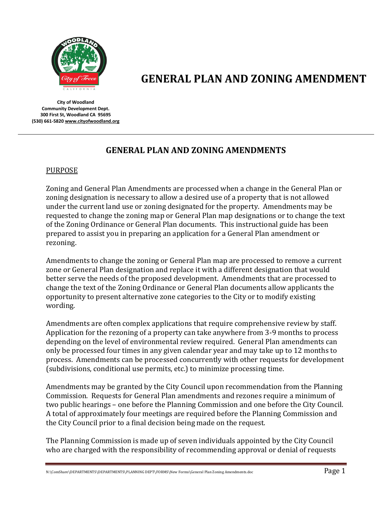

# **GENERAL PLAN AND ZONING AMENDMENT**

**City of Woodland Community Development Dept. 300 First St, Woodland CA 95695 (530) 661-582[0 www.cityofwoodland.org](http://www.cityofwoodland.org/)**

# **GENERAL PLAN AND ZONING AMENDMENTS**

# PURPOSE

Zoning and General Plan Amendments are processed when a change in the General Plan or zoning designation is necessary to allow a desired use of a property that is not allowed under the current land use or zoning designated for the property. Amendments may be requested to change the zoning map or General Plan map designations or to change the text of the Zoning Ordinance or General Plan documents. This instructional guide has been prepared to assist you in preparing an application for a General Plan amendment or rezoning.

Amendments to change the zoning or General Plan map are processed to remove a current zone or General Plan designation and replace it with a different designation that would better serve the needs of the proposed development. Amendments that are processed to change the text of the Zoning Ordinance or General Plan documents allow applicants the opportunity to present alternative zone categories to the City or to modify existing wording.

Amendments are often complex applications that require comprehensive review by staff. Application for the rezoning of a property can take anywhere from 3-9 months to process depending on the level of environmental review required. General Plan amendments can only be processed four times in any given calendar year and may take up to 12 months to process. Amendments can be processed concurrently with other requests for development (subdivisions, conditional use permits, etc.) to minimize processing time.

Amendments may be granted by the City Council upon recommendation from the Planning Commission. Requests for General Plan amendments and rezones require a minimum of two public hearings – one before the Planning Commission and one before the City Council. A total of approximately four meetings are required before the Planning Commission and the City Council prior to a final decision being made on the request.

The Planning Commission is made up of seven individuals appointed by the City Council who are charged with the responsibility of recommending approval or denial of requests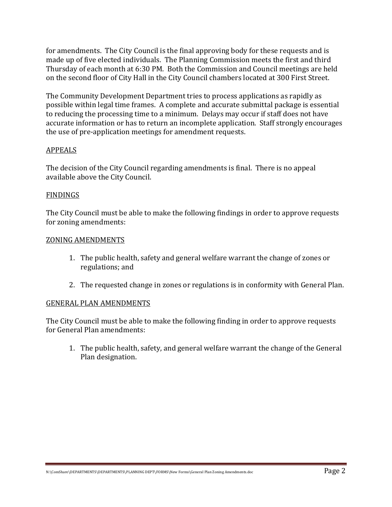for amendments. The City Council is the final approving body for these requests and is made up of five elected individuals. The Planning Commission meets the first and third Thursday of each month at 6:30 PM. Both the Commission and Council meetings are held on the second floor of City Hall in the City Council chambers located at 300 First Street.

The Community Development Department tries to process applications as rapidly as possible within legal time frames. A complete and accurate submittal package is essential to reducing the processing time to a minimum. Delays may occur if staff does not have accurate information or has to return an incomplete application. Staff strongly encourages the use of pre-application meetings for amendment requests.

#### APPEALS

The decision of the City Council regarding amendments is final. There is no appeal available above the City Council.

#### FINDINGS

The City Council must be able to make the following findings in order to approve requests for zoning amendments:

#### ZONING AMENDMENTS

- 1. The public health, safety and general welfare warrant the change of zones or regulations; and
- 2. The requested change in zones or regulations is in conformity with General Plan.

#### GENERAL PLAN AMENDMENTS

The City Council must be able to make the following finding in order to approve requests for General Plan amendments:

1. The public health, safety, and general welfare warrant the change of the General Plan designation.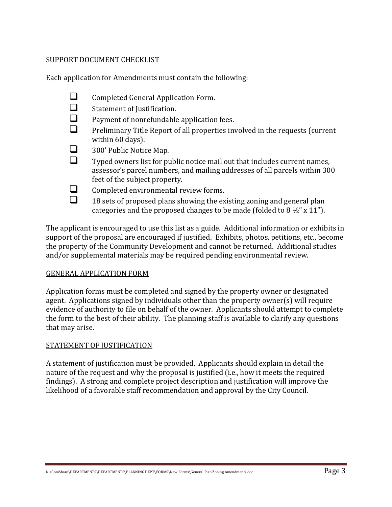#### SUPPORT DOCUMENT CHECKLIST

Each application for Amendments must contain the following:

 $\Box$  Completed General Application Form.<br> $\Box$  Statement of Iustification.  $\Box$  Statement of Justification.<br> $\Box$  Payment of nonrefundable Payment of nonrefundable application fees.  $\Box$  Preliminary Title Report of all properties involved in the requests (current within 60 days).  $\Box$  300' Public Notice Map.<br>Typed owners list for pu Typed owners list for public notice mail out that includes current names, assessor's parcel numbers, and mailing addresses of all parcels within 300 feet of the subject property.  $\Box$  Completed environmental review forms.  $\Box$  18 sets of proposed plans showing the existing zoning and general plan categories and the proposed changes to be made (folded to  $8\frac{1}{2}$ " x 11").

The applicant is encouraged to use this list as a guide. Additional information or exhibits in support of the proposal are encouraged if justified. Exhibits, photos, petitions, etc., become the property of the Community Development and cannot be returned. Additional studies and/or supplemental materials may be required pending environmental review.

#### GENERAL APPLICATION FORM

Application forms must be completed and signed by the property owner or designated agent. Applications signed by individuals other than the property owner(s) will require evidence of authority to file on behalf of the owner. Applicants should attempt to complete the form to the best of their ability. The planning staff is available to clarify any questions that may arise.

# STATEMENT OF JUSTIFICATION

A statement of justification must be provided. Applicants should explain in detail the nature of the request and why the proposal is justified (i.e., how it meets the required findings). A strong and complete project description and justification will improve the likelihood of a favorable staff recommendation and approval by the City Council.